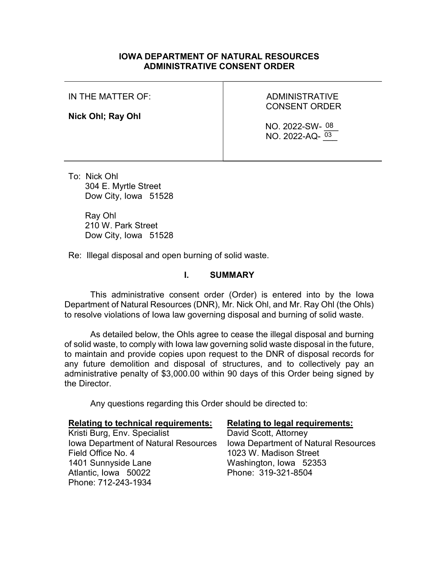### IOWA DEPARTMENT OF NATURAL RESOURCES ADMINISTRATIVE CONSENT ORDER

#### IN THE MATTER OF:

#### Nick Ohl; Ray Ohl

# ADMINISTRATIVE CONSENT ORDER

NO. 2022-SW- 08  $NO. 2022-AQ \frac{03}{2}$ 

To: Nick Ohl 304 E. Myrtle Street Dow City, Iowa 51528

> Ray Ohl 210 W. Park Street Dow City, Iowa 51528

Re: Illegal disposal and open burning of solid waste.

#### I. SUMMARY

This administrative consent order (Order) is entered into by the Iowa Department of Natural Resources (DNR), Mr. Nick Ohl, and Mr. Ray Ohl (the Ohls) to resolve violations of Iowa law governing disposal and burning of solid waste.

As detailed below, the Ohls agree to cease the illegal disposal and burning of solid waste, to comply with Iowa law governing solid waste disposal in the future, to maintain and provide copies upon request to the DNR of disposal records for any future demolition and disposal of structures, and to collectively pay an administrative penalty of \$3,000.00 within 90 days of this Order being signed by the Director.

Any questions regarding this Order should be directed to:

| <b>Relating to technical requirements:</b> | <b>Relating to legal requirements:</b> |
|--------------------------------------------|----------------------------------------|
| Kristi Burg, Env. Specialist               | David Scott, Attorney                  |
| Iowa Department of Natural Resources       | Iowa Department of Natural Resources   |
| Field Office No. 4                         | 1023 W. Madison Street                 |
| 1401 Sunnyside Lane                        | Washington, Iowa 52353                 |
| Atlantic, Iowa 50022                       | Phone: 319-321-8504                    |
| Phone: 712-243-1934                        |                                        |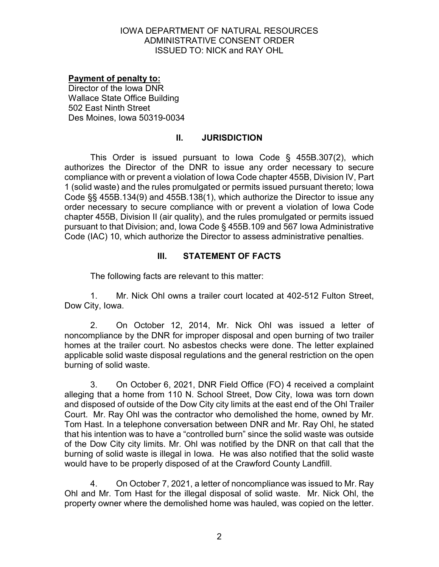## Payment of penalty to:

Director of the Iowa DNR Wallace State Office Building 502 East Ninth Street Des Moines, Iowa 50319-0034

# II. JURISDICTION

This Order is issued pursuant to Iowa Code § 455B.307(2), which authorizes the Director of the DNR to issue any order necessary to secure compliance with or prevent a violation of Iowa Code chapter 455B, Division IV, Part 1 (solid waste) and the rules promulgated or permits issued pursuant thereto; Iowa Code §§ 455B.134(9) and 455B.138(1), which authorize the Director to issue any order necessary to secure compliance with or prevent a violation of Iowa Code chapter 455B, Division II (air quality), and the rules promulgated or permits issued pursuant to that Division; and, Iowa Code § 455B.109 and 567 Iowa Administrative Code (IAC) 10, which authorize the Director to assess administrative penalties.

# III. STATEMENT OF FACTS

The following facts are relevant to this matter:

1. Mr. Nick Ohl owns a trailer court located at 402-512 Fulton Street, Dow City, Iowa.

2. On October 12, 2014, Mr. Nick Ohl was issued a letter of noncompliance by the DNR for improper disposal and open burning of two trailer homes at the trailer court. No asbestos checks were done. The letter explained applicable solid waste disposal regulations and the general restriction on the open burning of solid waste.

3. On October 6, 2021, DNR Field Office (FO) 4 received a complaint alleging that a home from 110 N. School Street, Dow City, Iowa was torn down and disposed of outside of the Dow City city limits at the east end of the Ohl Trailer Court. Mr. Ray Ohl was the contractor who demolished the home, owned by Mr. Tom Hast. In a telephone conversation between DNR and Mr. Ray Ohl, he stated that his intention was to have a "controlled burn" since the solid waste was outside of the Dow City city limits. Mr. Ohl was notified by the DNR on that call that the burning of solid waste is illegal in Iowa. He was also notified that the solid waste would have to be properly disposed of at the Crawford County Landfill.

4. On October 7, 2021, a letter of noncompliance was issued to Mr. Ray Ohl and Mr. Tom Hast for the illegal disposal of solid waste. Mr. Nick Ohl, the property owner where the demolished home was hauled, was copied on the letter.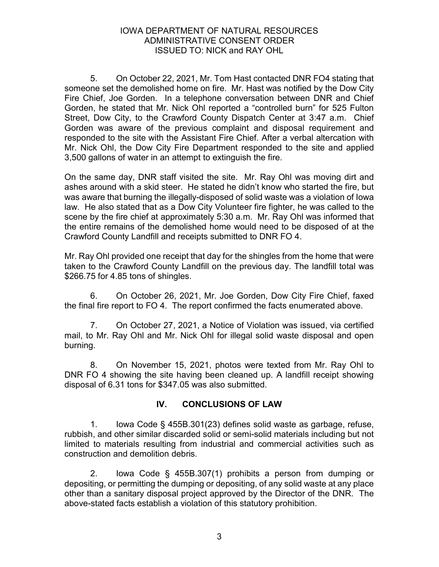5. On October 22, 2021, Mr. Tom Hast contacted DNR FO4 stating that someone set the demolished home on fire. Mr. Hast was notified by the Dow City Fire Chief, Joe Gorden. In a telephone conversation between DNR and Chief Gorden, he stated that Mr. Nick Ohl reported a "controlled burn" for 525 Fulton Street, Dow City, to the Crawford County Dispatch Center at 3:47 a.m. Chief Gorden was aware of the previous complaint and disposal requirement and responded to the site with the Assistant Fire Chief. After a verbal altercation with Mr. Nick Ohl, the Dow City Fire Department responded to the site and applied 3,500 gallons of water in an attempt to extinguish the fire.

On the same day, DNR staff visited the site. Mr. Ray Ohl was moving dirt and ashes around with a skid steer. He stated he didn't know who started the fire, but was aware that burning the illegally-disposed of solid waste was a violation of Iowa law. He also stated that as a Dow City Volunteer fire fighter, he was called to the scene by the fire chief at approximately 5:30 a.m. Mr. Ray Ohl was informed that the entire remains of the demolished home would need to be disposed of at the Crawford County Landfill and receipts submitted to DNR FO 4.

Mr. Ray Ohl provided one receipt that day for the shingles from the home that were taken to the Crawford County Landfill on the previous day. The landfill total was \$266.75 for 4.85 tons of shingles.

6. On October 26, 2021, Mr. Joe Gorden, Dow City Fire Chief, faxed the final fire report to FO 4. The report confirmed the facts enumerated above.

7. On October 27, 2021, a Notice of Violation was issued, via certified mail, to Mr. Ray Ohl and Mr. Nick Ohl for illegal solid waste disposal and open burning.

8. On November 15, 2021, photos were texted from Mr. Ray Ohl to DNR FO 4 showing the site having been cleaned up. A landfill receipt showing disposal of 6.31 tons for \$347.05 was also submitted.

# IV. CONCLUSIONS OF LAW

1. Iowa Code § 455B.301(23) defines solid waste as garbage, refuse, rubbish, and other similar discarded solid or semi-solid materials including but not limited to materials resulting from industrial and commercial activities such as construction and demolition debris.

2. Iowa Code § 455B.307(1) prohibits a person from dumping or depositing, or permitting the dumping or depositing, of any solid waste at any place other than a sanitary disposal project approved by the Director of the DNR. The above-stated facts establish a violation of this statutory prohibition.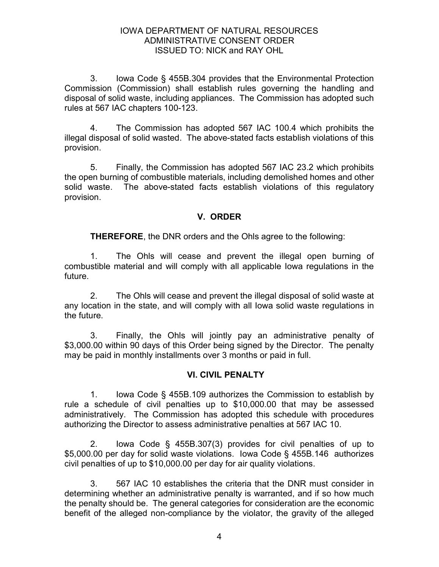3. Iowa Code § 455B.304 provides that the Environmental Protection Commission (Commission) shall establish rules governing the handling and disposal of solid waste, including appliances. The Commission has adopted such rules at 567 IAC chapters 100-123.

4. The Commission has adopted 567 IAC 100.4 which prohibits the illegal disposal of solid wasted. The above-stated facts establish violations of this provision.

5. Finally, the Commission has adopted 567 IAC 23.2 which prohibits the open burning of combustible materials, including demolished homes and other solid waste. The above-stated facts establish violations of this regulatory provision.

# V. ORDER

THEREFORE, the DNR orders and the Ohls agree to the following:

1. The Ohls will cease and prevent the illegal open burning of combustible material and will comply with all applicable Iowa regulations in the future.

2. The Ohls will cease and prevent the illegal disposal of solid waste at any location in the state, and will comply with all Iowa solid waste regulations in the future.

3. Finally, the Ohls will jointly pay an administrative penalty of \$3,000.00 within 90 days of this Order being signed by the Director. The penalty may be paid in monthly installments over 3 months or paid in full.

# VI. CIVIL PENALTY

1. Iowa Code § 455B.109 authorizes the Commission to establish by rule a schedule of civil penalties up to \$10,000.00 that may be assessed administratively. The Commission has adopted this schedule with procedures authorizing the Director to assess administrative penalties at 567 IAC 10.

2. Iowa Code § 455B.307(3) provides for civil penalties of up to \$5,000.00 per day for solid waste violations. Iowa Code § 455B.146 authorizes civil penalties of up to \$10,000.00 per day for air quality violations.

3. 567 IAC 10 establishes the criteria that the DNR must consider in determining whether an administrative penalty is warranted, and if so how much the penalty should be. The general categories for consideration are the economic benefit of the alleged non-compliance by the violator, the gravity of the alleged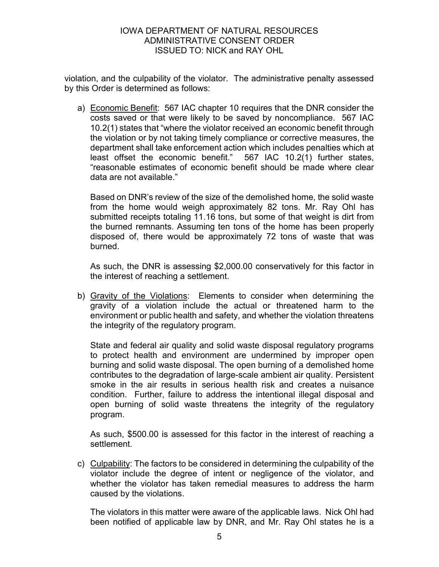violation, and the culpability of the violator. The administrative penalty assessed by this Order is determined as follows:

a) Economic Benefit: 567 IAC chapter 10 requires that the DNR consider the costs saved or that were likely to be saved by noncompliance. 567 IAC 10.2(1) states that "where the violator received an economic benefit through the violation or by not taking timely compliance or corrective measures, the department shall take enforcement action which includes penalties which at least offset the economic benefit." 567 IAC 10.2(1) further states, "reasonable estimates of economic benefit should be made where clear data are not available."

Based on DNR's review of the size of the demolished home, the solid waste from the home would weigh approximately 82 tons. Mr. Ray Ohl has submitted receipts totaling 11.16 tons, but some of that weight is dirt from the burned remnants. Assuming ten tons of the home has been properly disposed of, there would be approximately 72 tons of waste that was burned.

As such, the DNR is assessing \$2,000.00 conservatively for this factor in the interest of reaching a settlement.

b) Gravity of the Violations: Elements to consider when determining the gravity of a violation include the actual or threatened harm to the environment or public health and safety, and whether the violation threatens the integrity of the regulatory program.

State and federal air quality and solid waste disposal regulatory programs to protect health and environment are undermined by improper open burning and solid waste disposal. The open burning of a demolished home contributes to the degradation of large-scale ambient air quality. Persistent smoke in the air results in serious health risk and creates a nuisance condition. Further, failure to address the intentional illegal disposal and open burning of solid waste threatens the integrity of the regulatory program.

As such, \$500.00 is assessed for this factor in the interest of reaching a settlement.

c) Culpability: The factors to be considered in determining the culpability of the violator include the degree of intent or negligence of the violator, and whether the violator has taken remedial measures to address the harm caused by the violations.

The violators in this matter were aware of the applicable laws. Nick Ohl had been notified of applicable law by DNR, and Mr. Ray Ohl states he is a